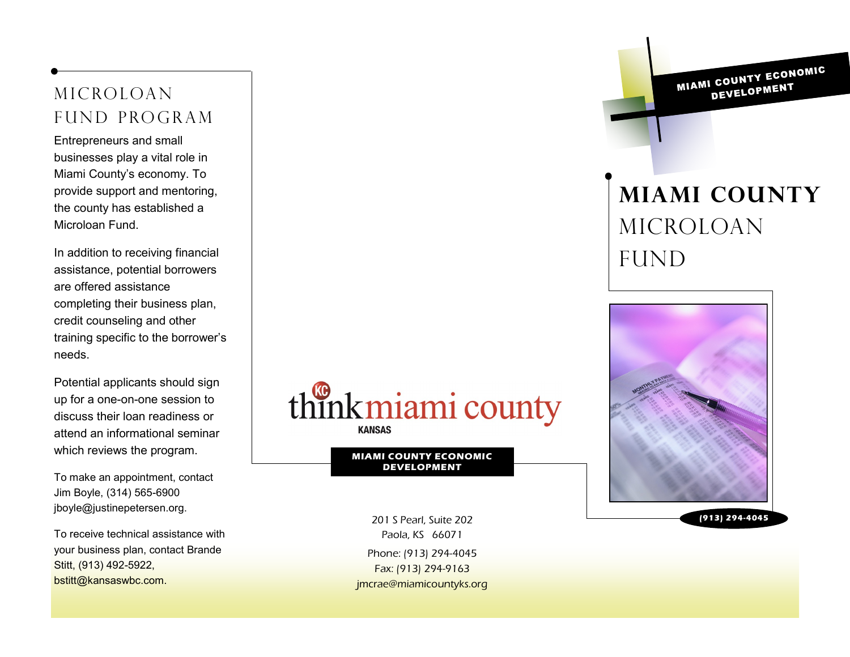Microloan fund program

Entrepreneurs and small businesses play a vital role in Miami County's economy. To provide support and mentoring, the county has established a Microloan Fund.

In addition to receiving financial assistance, potential borrowers are offered assistance completing their business plan, credit counseling and other training specific to the borrower's needs.

Potential applicants should sign up for a one-on-one session to discuss their loan readiness or attend an informational seminar which reviews the program.

To make an appointment, contact Jim Boyle, (314) 565-6900 jboyle@justinepetersen.org.

To receive technical assistance with your business plan, contact Brande Stitt, (913) 492-5922, bstitt@kansaswbc.com.



**MIAMI COUNTY ECONOMIC DEVELOPMENT**

Phone: (913) 294-4045 Fax: (913) 294-9163 jmcrae@miamicountyks.org 201 S Pearl, Suite 202 **(913) 294-4045** Paola, KS 66071

MIAMI COUNTY ECONOMIC DEVELOPMENT

# **Miami County**  Microloan **FUND**